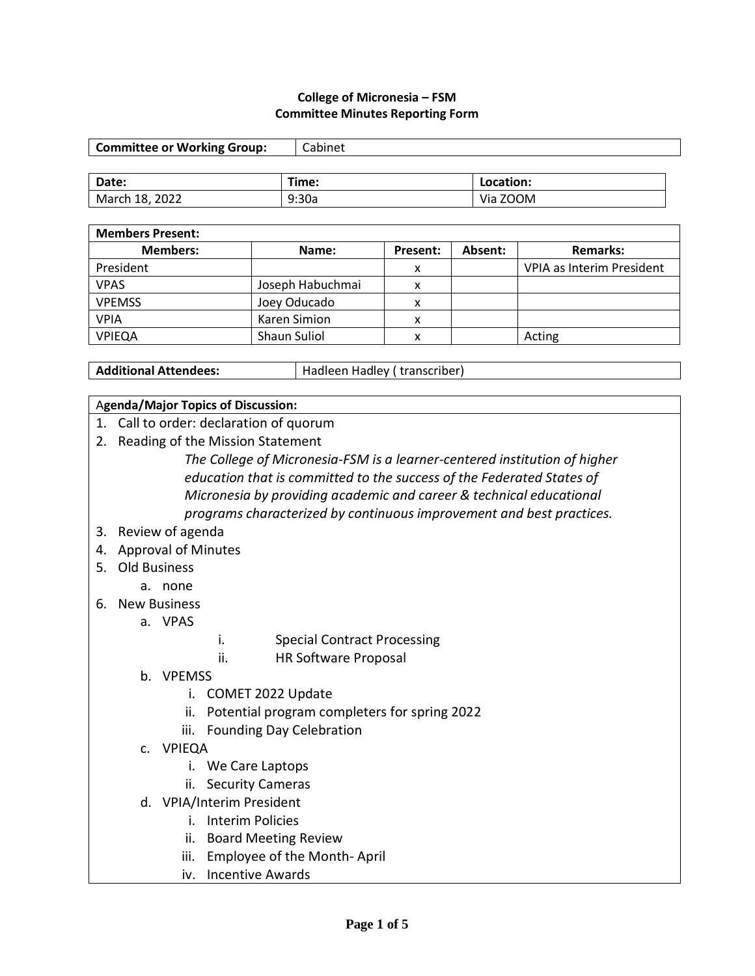#### **College of Micronesia – FSM Committee Minutes Reporting Form**

| <b>Committee or Working Group:</b> | Cabinet |           |
|------------------------------------|---------|-----------|
|                                    |         |           |
| Date:                              | Time:   | Location: |
| March 18, 2022                     | 9:30a   | Via ZOOM  |

| <b>Members Present:</b> |                     |          |         |                           |
|-------------------------|---------------------|----------|---------|---------------------------|
| <b>Members:</b>         | Name:               | Present: | Absent: | <b>Remarks:</b>           |
| President               |                     | x        |         | VPIA as Interim President |
| <b>VPAS</b>             | Joseph Habuchmai    | x        |         |                           |
| <b>VPEMSS</b>           | Joey Oducado        | x        |         |                           |
| <b>VPIA</b>             | Karen Simion        | x        |         |                           |
| <b>VPIEQA</b>           | <b>Shaun Suliol</b> | v        |         | Acting                    |

Additional Attendees: **Hadleen Hadley (** transcriber)

#### A**genda/Major Topics of Discussion:**

- 1. Call to order: declaration of quorum
- 2. Reading of the Mission Statement

*The College of Micronesia-FSM is a learner-centered institution of higher education that is committed to the success of the Federated States of Micronesia by providing academic and career & technical educational programs characterized by continuous improvement and best practices.*

#### 3. Review of agenda

- 4. Approval of Minutes
- 5. Old Business
	- a. none
- 6. New Business

a. VPAS

- i. Special Contract Processing
- ii. HR Software Proposal
- b. VPEMSS
	- i. COMET 2022 Update
	- ii. Potential program completers for spring 2022
	- iii. Founding Day Celebration
- c. VPIEQA
	- i. We Care Laptops
	- ii. Security Cameras
- d. VPIA/Interim President
	- i. Interim Policies
	- ii. Board Meeting Review
	- iii. Employee of the Month- April
	- iv. Incentive Awards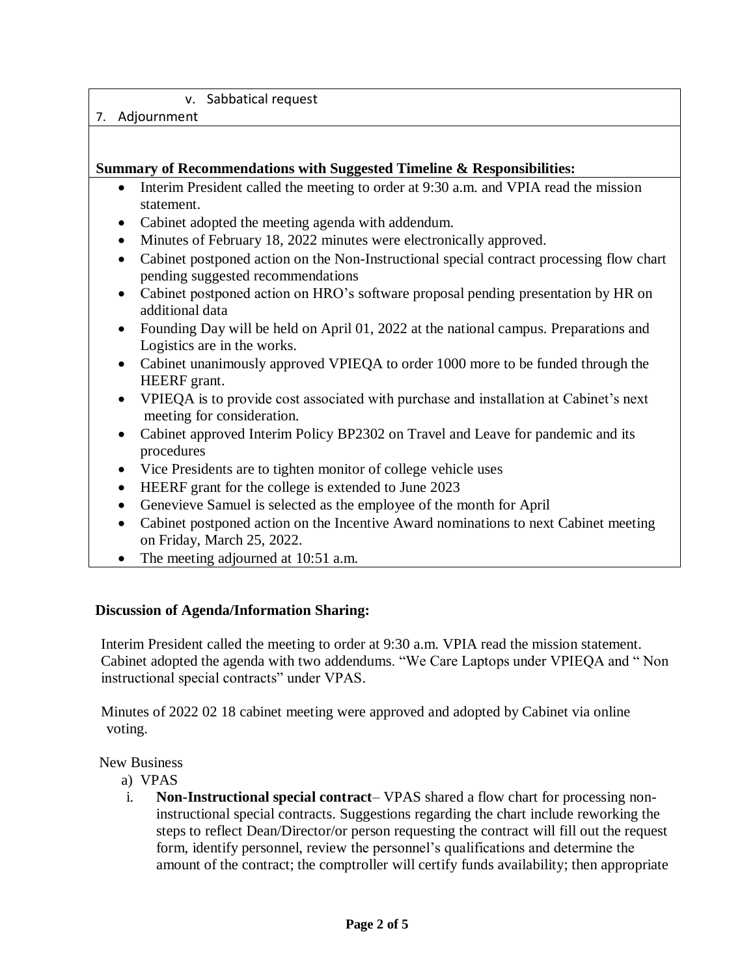# v. Sabbatical request

#### 7. Adjournment

# **Summary of Recommendations with Suggested Timeline & Responsibilities:**

- Interim President called the meeting to order at 9:30 a.m. and VPIA read the mission statement.
- Cabinet adopted the meeting agenda with addendum.
- Minutes of February 18, 2022 minutes were electronically approved.
- Cabinet postponed action on the Non-Instructional special contract processing flow chart pending suggested recommendations
- Cabinet postponed action on HRO's software proposal pending presentation by HR on additional data
- Founding Day will be held on April 01, 2022 at the national campus. Preparations and Logistics are in the works.
- Cabinet unanimously approved VPIEQA to order 1000 more to be funded through the HEERF grant.
- VPIEQA is to provide cost associated with purchase and installation at Cabinet's next meeting for consideration.
- Cabinet approved Interim Policy BP2302 on Travel and Leave for pandemic and its procedures
- Vice Presidents are to tighten monitor of college vehicle uses
- HEERF grant for the college is extended to June 2023
- Genevieve Samuel is selected as the employee of the month for April
- Cabinet postponed action on the Incentive Award nominations to next Cabinet meeting on Friday, March 25, 2022.
- The meeting adjourned at 10:51 a.m.

#### **Discussion of Agenda/Information Sharing:**

Interim President called the meeting to order at 9:30 a.m. VPIA read the mission statement. Cabinet adopted the agenda with two addendums. "We Care Laptops under VPIEQA and " Non instructional special contracts" under VPAS.

Minutes of 2022 02 18 cabinet meeting were approved and adopted by Cabinet via online voting.

#### New Business

- a) VPAS
- i. **Non-Instructional special contract** VPAS shared a flow chart for processing noninstructional special contracts. Suggestions regarding the chart include reworking the steps to reflect Dean/Director/or person requesting the contract will fill out the request form, identify personnel, review the personnel's qualifications and determine the amount of the contract; the comptroller will certify funds availability; then appropriate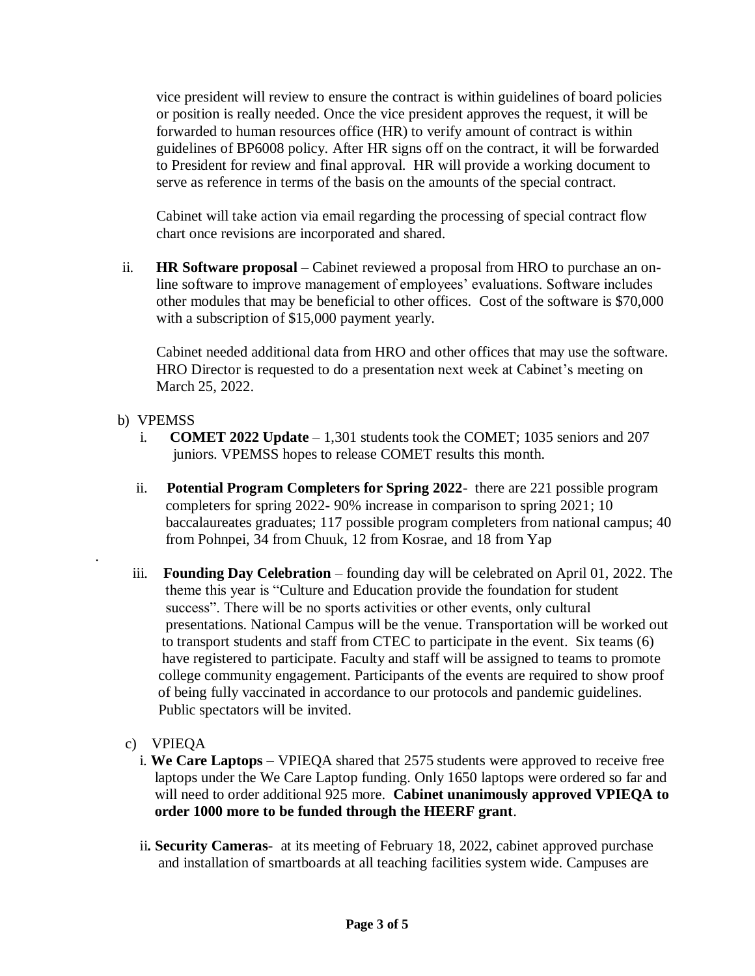vice president will review to ensure the contract is within guidelines of board policies or position is really needed. Once the vice president approves the request, it will be forwarded to human resources office (HR) to verify amount of contract is within guidelines of BP6008 policy. After HR signs off on the contract, it will be forwarded to President for review and final approval. HR will provide a working document to serve as reference in terms of the basis on the amounts of the special contract.

Cabinet will take action via email regarding the processing of special contract flow chart once revisions are incorporated and shared.

ii. **HR Software proposal** – Cabinet reviewed a proposal from HRO to purchase an online software to improve management of employees' evaluations. Software includes other modules that may be beneficial to other offices. Cost of the software is \$70,000 with a subscription of \$15,000 payment yearly.

Cabinet needed additional data from HRO and other offices that may use the software. HRO Director is requested to do a presentation next week at Cabinet's meeting on March 25, 2022.

# b) VPEMSS

.

- i. **COMET 2022 Update** 1,301 students took the COMET; 1035 seniors and 207 juniors. VPEMSS hopes to release COMET results this month.
- ii. **Potential Program Completers for Spring 2022** there are 221 possible program completers for spring 2022- 90% increase in comparison to spring 2021; 10 baccalaureates graduates; 117 possible program completers from national campus; 40 from Pohnpei, 34 from Chuuk, 12 from Kosrae, and 18 from Yap
- iii. **Founding Day Celebration** founding day will be celebrated on April 01, 2022. The theme this year is "Culture and Education provide the foundation for student success". There will be no sports activities or other events, only cultural presentations. National Campus will be the venue. Transportation will be worked out to transport students and staff from CTEC to participate in the event. Six teams (6) have registered to participate. Faculty and staff will be assigned to teams to promote college community engagement. Participants of the events are required to show proof of being fully vaccinated in accordance to our protocols and pandemic guidelines. Public spectators will be invited.
- c) VPIEQA
	- i. **We Care Laptops** VPIEQA shared that 2575 students were approved to receive free laptops under the We Care Laptop funding. Only 1650 laptops were ordered so far and will need to order additional 925 more. **Cabinet unanimously approved VPIEQA to order 1000 more to be funded through the HEERF grant**.
	- ii**. Security Cameras** at its meeting of February 18, 2022, cabinet approved purchase and installation of smartboards at all teaching facilities system wide. Campuses are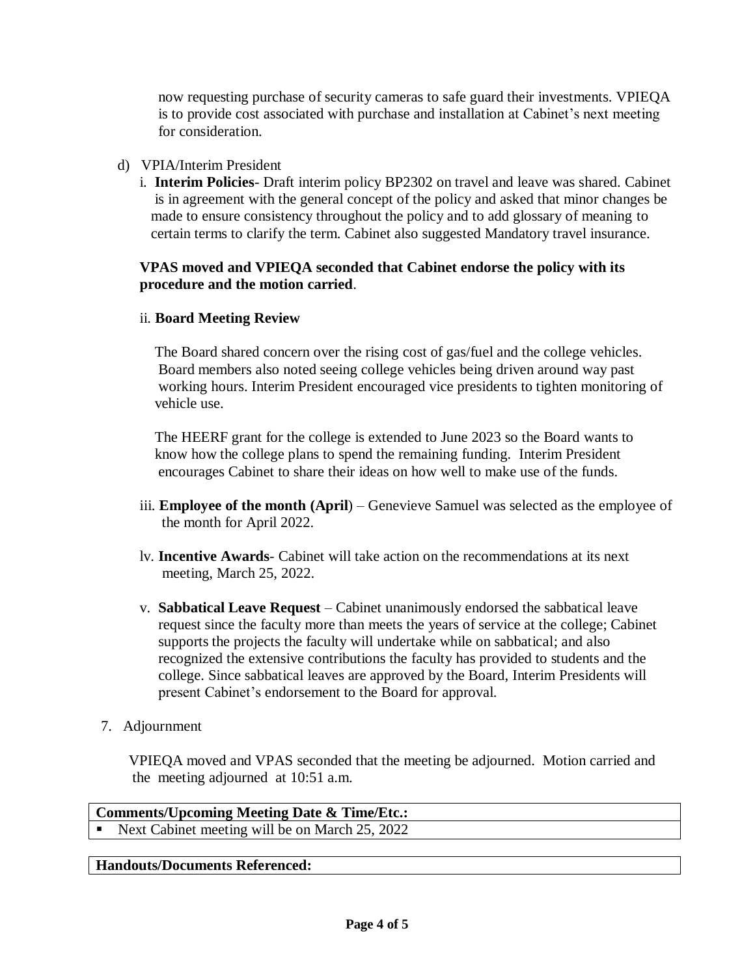now requesting purchase of security cameras to safe guard their investments. VPIEQA is to provide cost associated with purchase and installation at Cabinet's next meeting for consideration.

# d) VPIA/Interim President

i. **Interim Policies**- Draft interim policy BP2302 on travel and leave was shared. Cabinet is in agreement with the general concept of the policy and asked that minor changes be made to ensure consistency throughout the policy and to add glossary of meaning to certain terms to clarify the term. Cabinet also suggested Mandatory travel insurance.

# **VPAS moved and VPIEQA seconded that Cabinet endorse the policy with its procedure and the motion carried**.

# ii. **Board Meeting Review**

 The Board shared concern over the rising cost of gas/fuel and the college vehicles. Board members also noted seeing college vehicles being driven around way past working hours. Interim President encouraged vice presidents to tighten monitoring of vehicle use.

 The HEERF grant for the college is extended to June 2023 so the Board wants to know how the college plans to spend the remaining funding. Interim President encourages Cabinet to share their ideas on how well to make use of the funds.

- iii. **Employee of the month (April**) Genevieve Samuel was selected as the employee of the month for April 2022.
- lv. **Incentive Awards** Cabinet will take action on the recommendations at its next meeting, March 25, 2022.
- v. **Sabbatical Leave Request** Cabinet unanimously endorsed the sabbatical leave request since the faculty more than meets the years of service at the college; Cabinet supports the projects the faculty will undertake while on sabbatical; and also recognized the extensive contributions the faculty has provided to students and the college. Since sabbatical leaves are approved by the Board, Interim Presidents will present Cabinet's endorsement to the Board for approval.
- 7. Adjournment

 VPIEQA moved and VPAS seconded that the meeting be adjourned. Motion carried and the meeting adjourned at 10:51 a.m.

**Comments/Upcoming Meeting Date & Time/Etc.:** Next Cabinet meeting will be on March 25, 2022

#### **Handouts/Documents Referenced:**